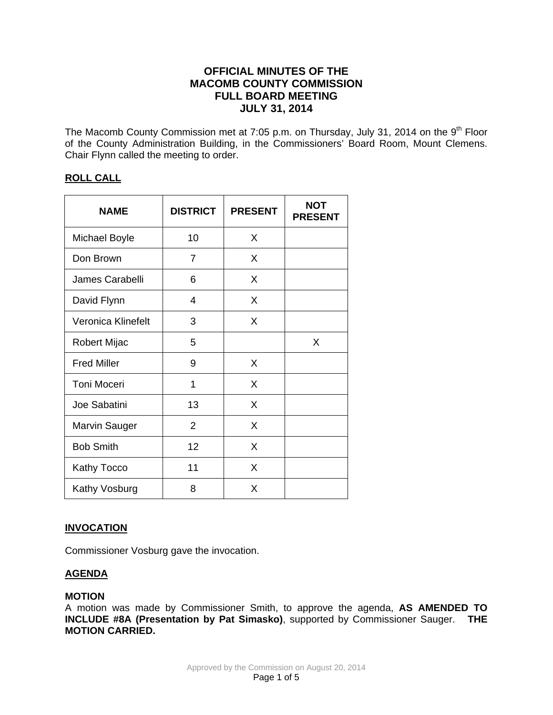# **OFFICIAL MINUTES OF THE MACOMB COUNTY COMMISSION FULL BOARD MEETING JULY 31, 2014**

The Macomb County Commission met at 7:05 p.m. on Thursday, July 31, 2014 on the 9<sup>th</sup> Floor of the County Administration Building, in the Commissioners' Board Room, Mount Clemens. Chair Flynn called the meeting to order.

## **ROLL CALL**

| <b>NAME</b>          | <b>DISTRICT</b> | <b>PRESENT</b> | <b>NOT</b><br><b>PRESENT</b> |
|----------------------|-----------------|----------------|------------------------------|
| <b>Michael Boyle</b> | 10              | X              |                              |
| Don Brown            | 7               | X              |                              |
| James Carabelli      | 6               | X              |                              |
| David Flynn          | 4               | X              |                              |
| Veronica Klinefelt   | 3               | X              |                              |
| Robert Mijac         | 5               |                | X                            |
| <b>Fred Miller</b>   | 9               | X              |                              |
| <b>Toni Moceri</b>   | 1               | X              |                              |
| Joe Sabatini         | 13              | X              |                              |
| Marvin Sauger        | $\overline{2}$  | X              |                              |
| <b>Bob Smith</b>     | 12              | X              |                              |
| Kathy Tocco          | 11              | X              |                              |
| Kathy Vosburg        | 8               | X              |                              |

## **INVOCATION**

Commissioner Vosburg gave the invocation.

## **AGENDA**

## **MOTION**

A motion was made by Commissioner Smith, to approve the agenda, **AS AMENDED TO INCLUDE #8A (Presentation by Pat Simasko)**, supported by Commissioner Sauger. **THE MOTION CARRIED.**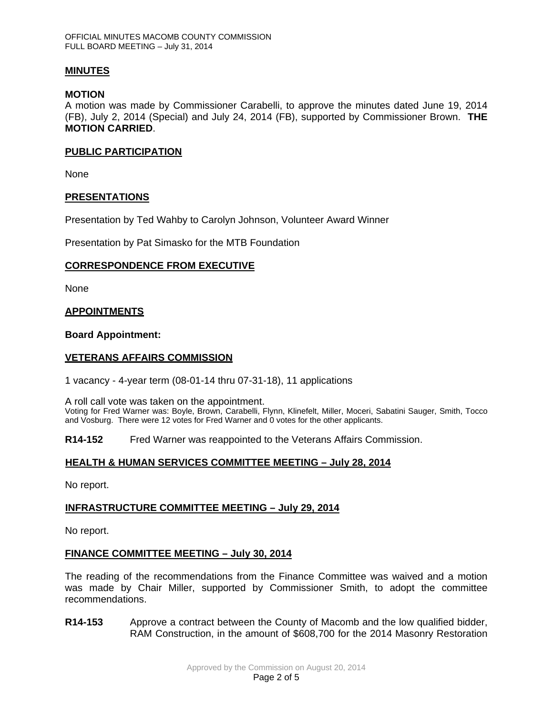## **MINUTES**

## **MOTION**

A motion was made by Commissioner Carabelli, to approve the minutes dated June 19, 2014 (FB), July 2, 2014 (Special) and July 24, 2014 (FB), supported by Commissioner Brown. **THE MOTION CARRIED**.

## **PUBLIC PARTICIPATION**

None

## **PRESENTATIONS**

Presentation by Ted Wahby to Carolyn Johnson, Volunteer Award Winner

Presentation by Pat Simasko for the MTB Foundation

## **CORRESPONDENCE FROM EXECUTIVE**

None

## **APPOINTMENTS**

## **Board Appointment:**

## **VETERANS AFFAIRS COMMISSION**

1 vacancy - 4-year term (08-01-14 thru 07-31-18), 11 applications

A roll call vote was taken on the appointment.

Voting for Fred Warner was: Boyle, Brown, Carabelli, Flynn, Klinefelt, Miller, Moceri, Sabatini Sauger, Smith, Tocco and Vosburg. There were 12 votes for Fred Warner and 0 votes for the other applicants.

**R14-152** Fred Warner was reappointed to the Veterans Affairs Commission.

## **HEALTH & HUMAN SERVICES COMMITTEE MEETING – July 28, 2014**

No report.

## **INFRASTRUCTURE COMMITTEE MEETING – July 29, 2014**

No report.

## **FINANCE COMMITTEE MEETING – July 30, 2014**

The reading of the recommendations from the Finance Committee was waived and a motion was made by Chair Miller, supported by Commissioner Smith, to adopt the committee recommendations.

**R14-153** Approve a contract between the County of Macomb and the low qualified bidder, RAM Construction, in the amount of \$608,700 for the 2014 Masonry Restoration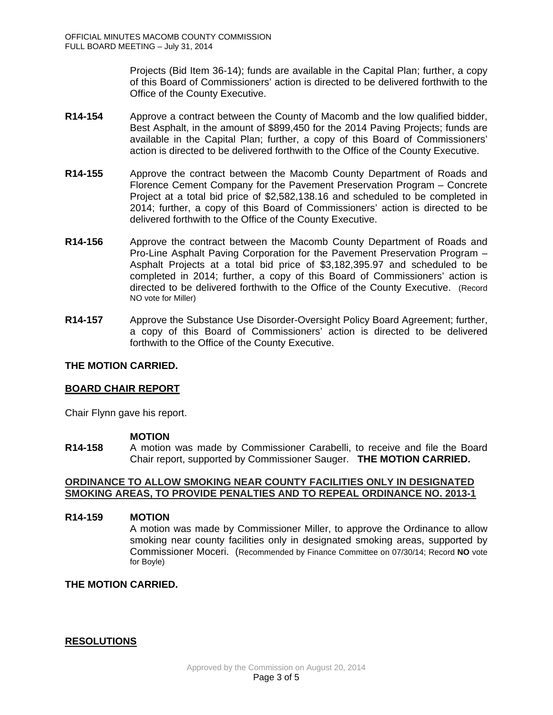Projects (Bid Item 36-14); funds are available in the Capital Plan; further, a copy of this Board of Commissioners' action is directed to be delivered forthwith to the Office of the County Executive.

- **R14-154** Approve a contract between the County of Macomb and the low qualified bidder, Best Asphalt, in the amount of \$899,450 for the 2014 Paving Projects; funds are available in the Capital Plan; further, a copy of this Board of Commissioners' action is directed to be delivered forthwith to the Office of the County Executive.
- **R14-155** Approve the contract between the Macomb County Department of Roads and Florence Cement Company for the Pavement Preservation Program – Concrete Project at a total bid price of \$2,582,138.16 and scheduled to be completed in 2014; further, a copy of this Board of Commissioners' action is directed to be delivered forthwith to the Office of the County Executive.
- **R14-156** Approve the contract between the Macomb County Department of Roads and Pro-Line Asphalt Paving Corporation for the Pavement Preservation Program – Asphalt Projects at a total bid price of \$3,182,395.97 and scheduled to be completed in 2014; further, a copy of this Board of Commissioners' action is directed to be delivered forthwith to the Office of the County Executive. (Record NO vote for Miller)
- **R14-157** Approve the Substance Use Disorder-Oversight Policy Board Agreement; further, a copy of this Board of Commissioners' action is directed to be delivered forthwith to the Office of the County Executive.

## **THE MOTION CARRIED.**

## **BOARD CHAIR REPORT**

Chair Flynn gave his report.

## **MOTION**

**R14-158** A motion was made by Commissioner Carabelli, to receive and file the Board Chair report, supported by Commissioner Sauger. **THE MOTION CARRIED.**

## **ORDINANCE TO ALLOW SMOKING NEAR COUNTY FACILITIES ONLY IN DESIGNATED SMOKING AREAS, TO PROVIDE PENALTIES AND TO REPEAL ORDINANCE NO. 2013-1**

## **R14-159 MOTION**

A motion was made by Commissioner Miller, to approve the Ordinance to allow smoking near county facilities only in designated smoking areas, supported by Commissioner Moceri. (Recommended by Finance Committee on 07/30/14; Record **NO** vote for Boyle)

## **THE MOTION CARRIED.**

## **RESOLUTIONS**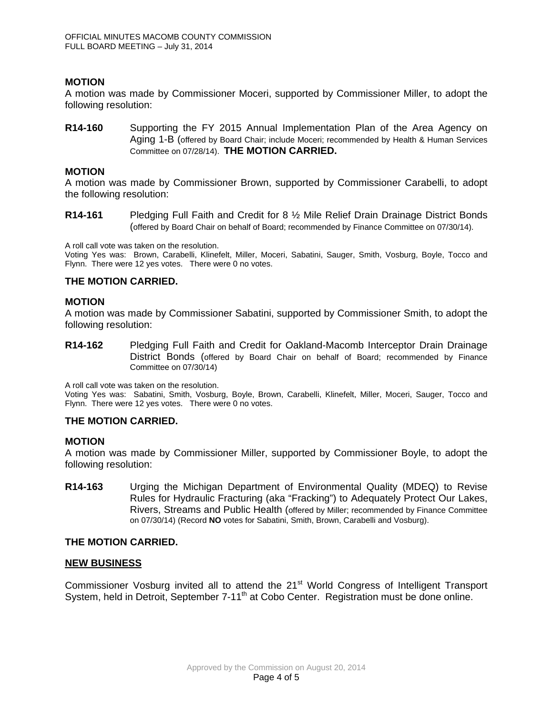## **MOTION**

A motion was made by Commissioner Moceri, supported by Commissioner Miller, to adopt the following resolution:

**R14-160** Supporting the FY 2015 Annual Implementation Plan of the Area Agency on Aging 1-B (offered by Board Chair; include Moceri; recommended by Health & Human Services Committee on 07/28/14). **THE MOTION CARRIED.**

#### **MOTION**

A motion was made by Commissioner Brown, supported by Commissioner Carabelli, to adopt the following resolution:

**R14-161** Pledging Full Faith and Credit for 8 ½ Mile Relief Drain Drainage District Bonds (offered by Board Chair on behalf of Board; recommended by Finance Committee on 07/30/14).

A roll call vote was taken on the resolution.

Voting Yes was: Brown, Carabelli, Klinefelt, Miller, Moceri, Sabatini, Sauger, Smith, Vosburg, Boyle, Tocco and Flynn. There were 12 yes votes. There were 0 no votes.

#### **THE MOTION CARRIED.**

#### **MOTION**

A motion was made by Commissioner Sabatini, supported by Commissioner Smith, to adopt the following resolution:

**R14-162** Pledging Full Faith and Credit for Oakland-Macomb Interceptor Drain Drainage District Bonds (offered by Board Chair on behalf of Board; recommended by Finance Committee on 07/30/14)

A roll call vote was taken on the resolution.

Voting Yes was: Sabatini, Smith, Vosburg, Boyle, Brown, Carabelli, Klinefelt, Miller, Moceri, Sauger, Tocco and Flynn. There were 12 yes votes. There were 0 no votes.

## **THE MOTION CARRIED.**

#### **MOTION**

A motion was made by Commissioner Miller, supported by Commissioner Boyle, to adopt the following resolution:

**R14-163** Urging the Michigan Department of Environmental Quality (MDEQ) to Revise Rules for Hydraulic Fracturing (aka "Fracking") to Adequately Protect Our Lakes, Rivers, Streams and Public Health (offered by Miller; recommended by Finance Committee on 07/30/14) (Record **NO** votes for Sabatini, Smith, Brown, Carabelli and Vosburg).

## **THE MOTION CARRIED.**

## **NEW BUSINESS**

Commissioner Vosburg invited all to attend the 21<sup>st</sup> World Congress of Intelligent Transport System, held in Detroit, September 7-11<sup>th</sup> at Cobo Center. Registration must be done online.